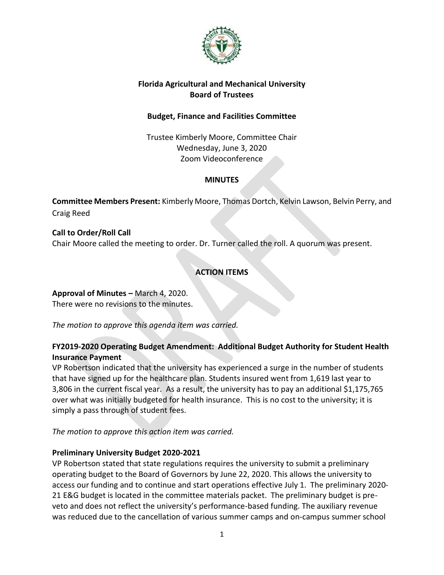

### **Florida Agricultural and Mechanical University Board of Trustees**

# **Budget, Finance and Facilities Committee**

Trustee Kimberly Moore, Committee Chair Wednesday, June 3, 2020 Zoom Videoconference

## **MINUTES**

**Committee Members Present:** Kimberly Moore, Thomas Dortch, Kelvin Lawson, Belvin Perry, and Craig Reed

**Call to Order/Roll Call** Chair Moore called the meeting to order. Dr. Turner called the roll. A quorum was present.

# **ACTION ITEMS**

**Approval of Minutes –** March 4, 2020. There were no revisions to the minutes.

*The motion to approve this agenda item was carried.*

# **FY2019-2020 Operating Budget Amendment: Additional Budget Authority for Student Health Insurance Payment**

VP Robertson indicated that the university has experienced a surge in the number of students that have signed up for the healthcare plan. Students insured went from 1,619 last year to 3,806 in the current fiscal year. As a result, the university has to pay an additional \$1,175,765 over what was initially budgeted for health insurance. This is no cost to the university; it is simply a pass through of student fees.

*The motion to approve this action item was carried.*

### **Preliminary University Budget 2020-2021**

VP Robertson stated that state regulations requires the university to submit a preliminary operating budget to the Board of Governors by June 22, 2020. This allows the university to access our funding and to continue and start operations effective July 1. The preliminary 2020- 21 E&G budget is located in the committee materials packet. The preliminary budget is preveto and does not reflect the university's performance-based funding. The auxiliary revenue was reduced due to the cancellation of various summer camps and on-campus summer school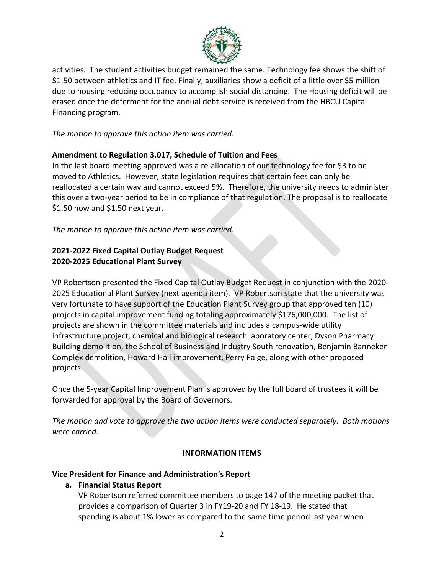

activities. The student activities budget remained the same. Technology fee shows the shift of \$1.50 between athletics and IT fee. Finally, auxiliaries show a deficit of a little over \$5 million due to housing reducing occupancy to accomplish social distancing. The Housing deficit will be erased once the deferment for the annual debt service is received from the HBCU Capital Financing program.

*The motion to approve this action item was carried.*

## **Amendment to Regulation 3.017, Schedule of Tuition and Fees**

In the last board meeting approved was a re-allocation of our technology fee for \$3 to be moved to Athletics. However, state legislation requires that certain fees can only be reallocated a certain way and cannot exceed 5%. Therefore, the university needs to administer this over a two-year period to be in compliance of that regulation. The proposal is to reallocate \$1.50 now and \$1.50 next year.

*The motion to approve this action item was carried.*

# **2021-2022 Fixed Capital Outlay Budget Request 2020-2025 Educational Plant Survey**

VP Robertson presented the Fixed Capital Outlay Budget Request in conjunction with the 2020- 2025 Educational Plant Survey (next agenda item). VP Robertson state that the university was very fortunate to have support of the Education Plant Survey group that approved ten (10) projects in capital improvement funding totaling approximately \$176,000,000. The list of projects are shown in the committee materials and includes a campus-wide utility infrastructure project, chemical and biological research laboratory center, Dyson Pharmacy Building demolition, the School of Business and Industry South renovation, Benjamin Banneker Complex demolition, Howard Hall improvement, Perry Paige, along with other proposed projects.

Once the 5-year Capital Improvement Plan is approved by the full board of trustees it will be forwarded for approval by the Board of Governors.

*The motion and vote to approve the two action items were conducted separately. Both motions were carried.*

# **INFORMATION ITEMS**

### **Vice President for Finance and Administration's Report**

**a. Financial Status Report** 

VP Robertson referred committee members to page 147 of the meeting packet that provides a comparison of Quarter 3 in FY19-20 and FY 18-19. He stated that spending is about 1% lower as compared to the same time period last year when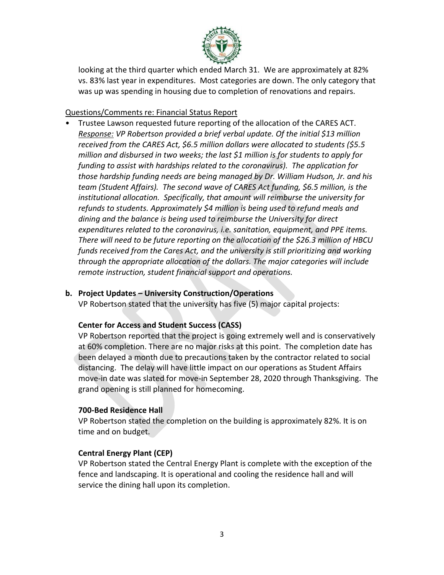

looking at the third quarter which ended March 31. We are approximately at 82% vs. 83% last year in expenditures. Most categories are down. The only category that was up was spending in housing due to completion of renovations and repairs.

#### Questions/Comments re: Financial Status Report

• Trustee Lawson requested future reporting of the allocation of the CARES ACT. *Response: VP Robertson provided a brief verbal update. Of the initial \$13 million received from the CARES Act, \$6.5 million dollars were allocated to students (\$5.5 million and disbursed in two weeks; the last \$1 million is for students to apply for funding to assist with hardships related to the coronavirus). The application for those hardship funding needs are being managed by Dr. William Hudson, Jr. and his team (Student Affairs). The second wave of CARES Act funding, \$6.5 million, is the institutional allocation. Specifically, that amount will reimburse the university for refunds to students. Approximately \$4 million is being used to refund meals and dining and the balance is being used to reimburse the University for direct expenditures related to the coronavirus, i.e. sanitation, equipment, and PPE items. There will need to be future reporting on the allocation of the \$26.3 million of HBCU funds received from the Cares Act, and the university is still prioritizing and working through the appropriate allocation of the dollars. The major categories will include remote instruction, student financial support and operations.*

### **b. Project Updates – University Construction/Operations**

VP Robertson stated that the university has five (5) major capital projects:

### **Center for Access and Student Success (CASS)**

VP Robertson reported that the project is going extremely well and is conservatively at 60% completion. There are no major risks at this point. The completion date has been delayed a month due to precautions taken by the contractor related to social distancing. The delay will have little impact on our operations as Student Affairs move-in date was slated for move-in September 28, 2020 through Thanksgiving. The grand opening is still planned for homecoming.

#### **700-Bed Residence Hall**

VP Robertson stated the completion on the building is approximately 82%. It is on time and on budget.

### **Central Energy Plant (CEP)**

VP Robertson stated the Central Energy Plant is complete with the exception of the fence and landscaping. It is operational and cooling the residence hall and will service the dining hall upon its completion.